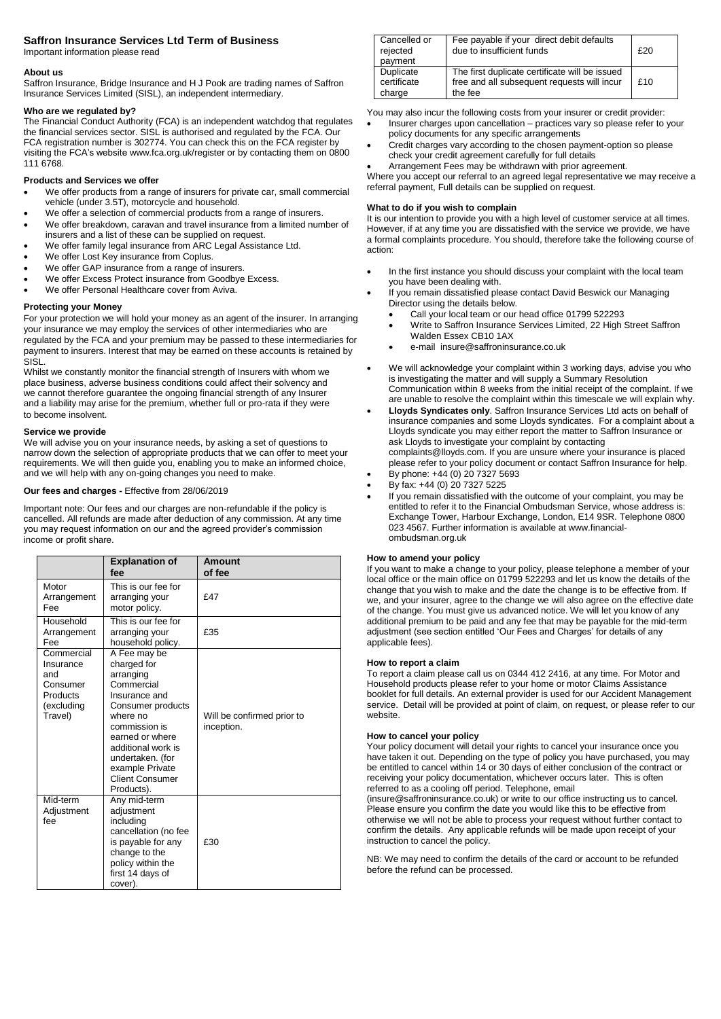## **Saffron Insurance Services Ltd Term of Business**

Important information please read

### **About us**

Saffron Insurance, Bridge Insurance and H J Pook are trading names of Saffron Insurance Services Limited (SISL), an independent intermediary.

## **Who are we regulated by?**

The Financial Conduct Authority (FCA) is an independent watchdog that regulates the financial services sector. SISL is authorised and regulated by the FCA. Our FCA registration number is 302774. You can check this on the FCA register by visiting the FCA's website www.fca.org.uk/register or by contacting them on 0800 111 6768.

## **Products and Services we offer**

- We offer products from a range of insurers for private car, small commercial vehicle (under 3.5T), motorcycle and household.
- We offer a selection of commercial products from a range of insurers.
- We offer breakdown, caravan and travel insurance from a limited number of insurers and a list of these can be supplied on request.
- We offer family legal insurance from ARC Legal Assistance Ltd.
- We offer Lost Key insurance from Coplus.
- We offer GAP insurance from a range of insurers.
- We offer Excess Protect insurance from Goodbye Excess.
- We offer Personal Healthcare cover from Aviva.

## **Protecting your Money**

For your protection we will hold your money as an agent of the insurer. In arranging your insurance we may employ the services of other intermediaries who are regulated by the FCA and your premium may be passed to these intermediaries for payment to insurers. Interest that may be earned on these accounts is retained by SISL.

Whilst we constantly monitor the financial strength of Insurers with whom we place business, adverse business conditions could affect their solvency and we cannot therefore guarantee the ongoing financial strength of any Insurer and a liability may arise for the premium, whether full or pro-rata if they were to become insolvent.

## **Service we provide**

We will advise you on your insurance needs, by asking a set of questions to narrow down the selection of appropriate products that we can offer to meet your requirements. We will then guide you, enabling you to make an informed choice, and we will help with any on-going changes you need to make.

## **Our fees and charges -** Effective from 28/06/2019

Important note: Our fees and our charges are non-refundable if the policy is cancelled. All refunds are made after deduction of any commission. At any time you may request information on our and the agreed provider's commission income or profit share.

|                                                                                 | <b>Explanation of</b><br>fee                                                                                                                                                                                                                      | <b>Amount</b><br>of fee                  |
|---------------------------------------------------------------------------------|---------------------------------------------------------------------------------------------------------------------------------------------------------------------------------------------------------------------------------------------------|------------------------------------------|
| Motor<br>Arrangement<br>Fee                                                     | This is our fee for<br>arranging your<br>motor policy.                                                                                                                                                                                            | £47                                      |
| Household<br>Arrangement<br>Fee                                                 | This is our fee for<br>arranging your<br>household policy.                                                                                                                                                                                        | £35                                      |
| Commercial<br>Insurance<br>and<br>Consumer<br>Products<br>(excluding<br>Travel) | A Fee may be<br>charged for<br>arranging<br>Commercial<br>Insurance and<br>Consumer products<br>where no<br>commission is<br>earned or where<br>additional work is<br>undertaken. (for<br>example Private<br><b>Client Consumer</b><br>Products). | Will be confirmed prior to<br>inception. |
| Mid-term<br>Adjustment<br>fee                                                   | Any mid-term<br>adjustment<br>including<br>cancellation (no fee<br>is payable for any<br>change to the<br>policy within the<br>first 14 days of<br>cover).                                                                                        | £30                                      |

| Cancelled or                       |                                                                                                          |     |
|------------------------------------|----------------------------------------------------------------------------------------------------------|-----|
| rejected<br>payment                | Fee payable if your direct debit defaults<br>due to insufficient funds                                   | £20 |
| Duplicate<br>certificate<br>charge | The first duplicate certificate will be issued<br>free and all subsequent requests will incur<br>the fee | £10 |

You may also incur the following costs from your insurer or credit provider:

- Insurer charges upon cancellation practices vary so please refer to your policy documents for any specific arrangements
- Credit charges vary according to the chosen payment-option so please check your credit agreement carefully for full details
- Arrangement Fees may be withdrawn with prior agreement.

Where you accept our referral to an agreed legal representative we may receive a referral payment, Full details can be supplied on request.

## **What to do if you wish to complain**

It is our intention to provide you with a high level of customer service at all times. However, if at any time you are dissatisfied with the service we provide, we have a formal complaints procedure. You should, therefore take the following course of action:

- In the first instance you should discuss your complaint with the local team you have been dealing with.
- If you remain dissatisfied please contact David Beswick our Managing Director using the details below.
	- Call your local team or our head office 01799 522293
	- Write to Saffron Insurance Services Limited, 22 High Street Saffron Walden Essex CB10 1AX
	- e-mail insure@saffroninsurance.co.uk
- We will acknowledge your complaint within 3 working days, advise you who is investigating the matter and will supply a Summary Resolution Communication within 8 weeks from the initial receipt of the complaint. If we are unable to resolve the complaint within this timescale we will explain why.
- **Lloyds Syndicates only**. Saffron Insurance Services Ltd acts on behalf of insurance companies and some Lloyds syndicates. For a complaint about a Lloyds syndicate you may either report the matter to Saffron Insurance or ask Lloyds to investigate your complaint by contacting complaints@lloyds.com. If you are unsure where your insurance is placed
- please refer to your policy document or contact Saffron Insurance for help.
- By phone: +44 (0) 20 7327 5693 By fax: +44 (0) 20 7327 5225
- If you remain dissatisfied with the outcome of your complaint, you may be entitled to refer it to the Financial Ombudsman Service, whose address is: Exchange Tower, Harbour Exchange, London, E14 9SR. Telephone 0800 023 4567. Further information is available at www.financial-

# ombudsman.org.uk **How to amend your policy**

If you want to make a change to your policy, please telephone a member of your local office or the main office on 01799 522293 and let us know the details of the change that you wish to make and the date the change is to be effective from. If we, and your insurer, agree to the change we will also agree on the effective date of the change. You must give us advanced notice. We will let you know of any additional premium to be paid and any fee that may be payable for the mid-term adjustment (see section entitled 'Our Fees and Charges' for details of any applicable fees).

#### **How to report a claim**

To report a claim please call us on 0344 412 2416, at any time. For Motor and Household products please refer to your home or motor Claims Assistance booklet for full details. An external provider is used for our Accident Management service. Detail will be provided at point of claim, on request, or please refer to our website.

#### **How to cancel your policy**

Your policy document will detail your rights to cancel your insurance once you have taken it out. Depending on the type of policy you have purchased, you may be entitled to cancel within 14 or 30 days of either conclusion of the contract or receiving your policy documentation, whichever occurs later. This is often referred to as a cooling off period. Telephone, email

(insure@saffroninsurance.co.uk) or write to our office instructing us to cancel. Please ensure you confirm the date you would like this to be effective from otherwise we will not be able to process your request without further contact to confirm the details. Any applicable refunds will be made upon receipt of your instruction to cancel the policy.

NB: We may need to confirm the details of the card or account to be refunded before the refund can be processed.